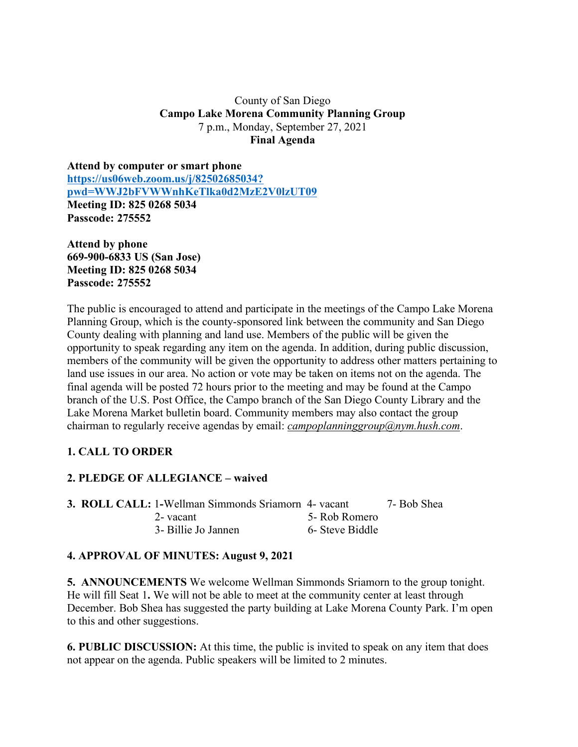## County of San Diego **Campo Lake Morena Community Planning Group** 7 p.m., Monday, September 27, 2021 **Final Agenda**

**Attend by computer or smart phone https://us06web.zoom.us/j/82502685034? pwd=WWJ2bFVWWnhKeTlka0d2MzE2V0lzUT09 Meeting ID: 825 0268 5034 Passcode: 275552**

**Attend by phone 669-900-6833 US (San Jose) Meeting ID: 825 0268 5034 Passcode: 275552**

The public is encouraged to attend and participate in the meetings of the Campo Lake Morena Planning Group, which is the county-sponsored link between the community and San Diego County dealing with planning and land use. Members of the public will be given the opportunity to speak regarding any item on the agenda. In addition, during public discussion, members of the community will be given the opportunity to address other matters pertaining to land use issues in our area. No action or vote may be taken on items not on the agenda. The final agenda will be posted 72 hours prior to the meeting and may be found at the Campo branch of the U.S. Post Office, the Campo branch of the San Diego County Library and the Lake Morena Market bulletin board. Community members may also contact the group chairman to regularly receive agendas by email: *campoplanninggroup@nym.hush.com*.

# **1. CALL TO ORDER**

# **2. PLEDGE OF ALLEGIANCE – waived**

**3. ROLL CALL:** 1**-**Wellman Simmonds Sriamorn 4- vacant 7- Bob Shea 2- vacant 5- Rob Romero 3- Billie Jo Jannen 6- Steve Biddle

### **4. APPROVAL OF MINUTES: August 9, 2021**

**5. ANNOUNCEMENTS** We welcome Wellman Simmonds Sriamorn to the group tonight. He will fill Seat 1**.** We will not be able to meet at the community center at least through December. Bob Shea has suggested the party building at Lake Morena County Park. I'm open to this and other suggestions.

**6. PUBLIC DISCUSSION:** At this time, the public is invited to speak on any item that does not appear on the agenda. Public speakers will be limited to 2 minutes.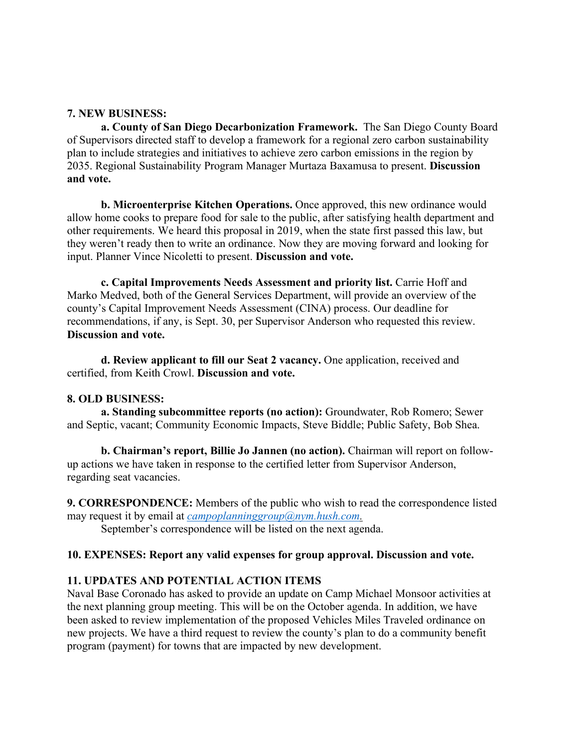### **7. NEW BUSINESS:**

**a. County of San Diego Decarbonization Framework.** The San Diego County Board of Supervisors directed staff to develop a framework for a regional zero carbon sustainability plan to include strategies and initiatives to achieve zero carbon emissions in the region by 2035. Regional Sustainability Program Manager Murtaza Baxamusa to present. **Discussion and vote.**

**b. Microenterprise Kitchen Operations.** Once approved, this new ordinance would allow home cooks to prepare food for sale to the public, after satisfying health department and other requirements. We heard this proposal in 2019, when the state first passed this law, but they weren't ready then to write an ordinance. Now they are moving forward and looking for input. Planner Vince Nicoletti to present. **Discussion and vote.**

**c. Capital Improvements Needs Assessment and priority list.** Carrie Hoff and Marko Medved, both of the General Services Department, will provide an overview of the county's Capital Improvement Needs Assessment (CINA) process. Our deadline for recommendations, if any, is Sept. 30, per Supervisor Anderson who requested this review. **Discussion and vote.**

**d. Review applicant to fill our Seat 2 vacancy.** One application, received and certified, from Keith Crowl. **Discussion and vote.**

### **8. OLD BUSINESS:**

**a. Standing subcommittee reports (no action):** Groundwater, Rob Romero; Sewer and Septic, vacant; Community Economic Impacts, Steve Biddle; Public Safety, Bob Shea.

**b. Chairman's report, Billie Jo Jannen (no action).** Chairman will report on followup actions we have taken in response to the certified letter from Supervisor Anderson, regarding seat vacancies.

**9. CORRESPONDENCE:** Members of the public who wish to read the correspondence listed may request it by email at *campoplanninggroup@nym.hush.com.*

September's correspondence will be listed on the next agenda.

### **10. EXPENSES: Report any valid expenses for group approval. Discussion and vote.**

# **11. UPDATES AND POTENTIAL ACTION ITEMS**

Naval Base Coronado has asked to provide an update on Camp Michael Monsoor activities at the next planning group meeting. This will be on the October agenda. In addition, we have been asked to review implementation of the proposed Vehicles Miles Traveled ordinance on new projects. We have a third request to review the county's plan to do a community benefit program (payment) for towns that are impacted by new development.